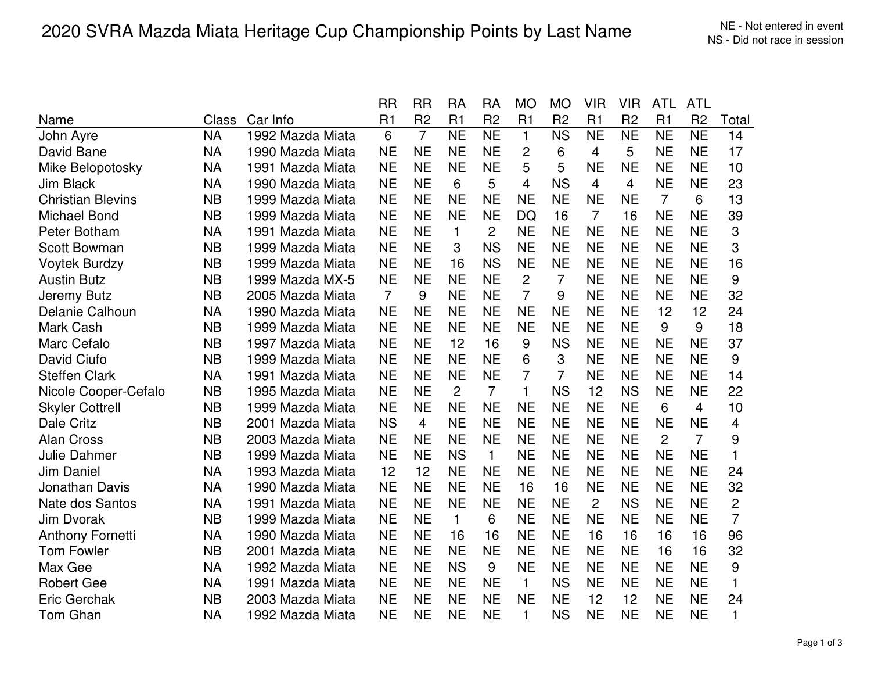|                          |           |                  | RR        | RR             | RA             | RA             | MO             | MО             | VIR            | <b>VIR</b>     | ATL            | ATL            |                |
|--------------------------|-----------|------------------|-----------|----------------|----------------|----------------|----------------|----------------|----------------|----------------|----------------|----------------|----------------|
| Name                     | Class     | Car Info         | R1        | R <sub>2</sub> | R <sub>1</sub> | R <sub>2</sub> | R <sub>1</sub> | R <sub>2</sub> | R1             | R <sub>2</sub> | R1             | R <sub>2</sub> | Total          |
| John Ayre                | <b>NA</b> | 1992 Mazda Miata | 6         | $\overline{7}$ | <b>NE</b>      | <b>NE</b>      | $\mathbf{1}$   | <b>NS</b>      | <b>NE</b>      | <b>NE</b>      | <b>NE</b>      | <b>NE</b>      | 14             |
| David Bane               | NA        | 1990 Mazda Miata | <b>NE</b> | <b>NE</b>      | <b>NE</b>      | <b>NE</b>      | 2              | 6              | 4              | 5              | <b>NE</b>      | <b>NE</b>      | 17             |
| Mike Belopotosky         | <b>NA</b> | 1991 Mazda Miata | <b>NE</b> | <b>NE</b>      | <b>NE</b>      | <b>NE</b>      | 5              | 5              | <b>NE</b>      | <b>NE</b>      | <b>NE</b>      | <b>NE</b>      | 10             |
| Jim Black                | <b>NA</b> | 1990 Mazda Miata | <b>NE</b> | <b>NE</b>      | 6              | 5              | 4              | <b>NS</b>      | 4              | 4              | <b>NE</b>      | <b>NE</b>      | 23             |
| <b>Christian Blevins</b> | <b>NB</b> | 1999 Mazda Miata | <b>NE</b> | <b>NE</b>      | <b>NE</b>      | <b>NE</b>      | <b>NE</b>      | <b>NE</b>      | <b>NE</b>      | <b>NE</b>      | $\overline{7}$ | 6              | 13             |
| <b>Michael Bond</b>      | <b>NB</b> | 1999 Mazda Miata | <b>NE</b> | <b>NE</b>      | <b>NE</b>      | <b>NE</b>      | DQ             | 16             | $\overline{7}$ | 16             | <b>NE</b>      | <b>NE</b>      | 39             |
| Peter Botham             | <b>NA</b> | 1991 Mazda Miata | <b>NE</b> | <b>NE</b>      | $\mathbf{1}$   | $\overline{2}$ | <b>NE</b>      | <b>NE</b>      | <b>NE</b>      | <b>NE</b>      | <b>NE</b>      | <b>NE</b>      | 3              |
| <b>Scott Bowman</b>      | <b>NB</b> | 1999 Mazda Miata | <b>NE</b> | <b>NE</b>      | 3              | <b>NS</b>      | <b>NE</b>      | <b>NE</b>      | <b>NE</b>      | <b>NE</b>      | <b>NE</b>      | <b>NE</b>      | 3              |
| <b>Voytek Burdzy</b>     | <b>NB</b> | 1999 Mazda Miata | <b>NE</b> | <b>NE</b>      | 16             | <b>NS</b>      | <b>NE</b>      | <b>NE</b>      | <b>NE</b>      | <b>NE</b>      | <b>NE</b>      | <b>NE</b>      | 16             |
| <b>Austin Butz</b>       | <b>NB</b> | 1999 Mazda MX-5  | <b>NE</b> | <b>NE</b>      | <b>NE</b>      | <b>NE</b>      | $\overline{2}$ | $\overline{7}$ | <b>NE</b>      | <b>NE</b>      | <b>NE</b>      | <b>NE</b>      | 9              |
| Jeremy Butz              | <b>NB</b> | 2005 Mazda Miata | 7         | 9              | <b>NE</b>      | <b>NE</b>      | $\overline{7}$ | 9              | <b>NE</b>      | <b>NE</b>      | <b>NE</b>      | <b>NE</b>      | 32             |
| Delanie Calhoun          | <b>NA</b> | 1990 Mazda Miata | <b>NE</b> | <b>NE</b>      | <b>NE</b>      | <b>NE</b>      | <b>NE</b>      | <b>NE</b>      | <b>NE</b>      | <b>NE</b>      | 12             | 12             | 24             |
| Mark Cash                | <b>NB</b> | 1999 Mazda Miata | <b>NE</b> | <b>NE</b>      | <b>NE</b>      | <b>NE</b>      | <b>NE</b>      | <b>NE</b>      | <b>NE</b>      | <b>NE</b>      | 9              | 9              | 18             |
| Marc Cefalo              | <b>NB</b> | 1997 Mazda Miata | <b>NE</b> | <b>NE</b>      | 12             | 16             | 9              | <b>NS</b>      | <b>NE</b>      | <b>NE</b>      | <b>NE</b>      | <b>NE</b>      | 37             |
| David Ciufo              | <b>NB</b> | 1999 Mazda Miata | <b>NE</b> | <b>NE</b>      | <b>NE</b>      | <b>NE</b>      | 6              | 3              | <b>NE</b>      | <b>NE</b>      | <b>NE</b>      | <b>NE</b>      | 9              |
| <b>Steffen Clark</b>     | <b>NA</b> | 1991 Mazda Miata | <b>NE</b> | <b>NE</b>      | <b>NE</b>      | <b>NE</b>      | 7              | 7              | <b>NE</b>      | <b>NE</b>      | <b>NE</b>      | <b>NE</b>      | 14             |
| Nicole Cooper-Cefalo     | <b>NB</b> | 1995 Mazda Miata | <b>NE</b> | <b>NE</b>      | $\overline{2}$ | $\overline{7}$ | 1              | <b>NS</b>      | 12             | <b>NS</b>      | <b>NE</b>      | <b>NE</b>      | 22             |
| <b>Skyler Cottrell</b>   | <b>NB</b> | 1999 Mazda Miata | <b>NE</b> | <b>NE</b>      | <b>NE</b>      | <b>NE</b>      | <b>NE</b>      | <b>NE</b>      | <b>NE</b>      | <b>NE</b>      | 6              | $\overline{4}$ | 10             |
| Dale Critz               | <b>NB</b> | 2001 Mazda Miata | <b>NS</b> | 4              | <b>NE</b>      | <b>NE</b>      | <b>NE</b>      | <b>NE</b>      | <b>NE</b>      | <b>NE</b>      | <b>NE</b>      | <b>NE</b>      | 4              |
| <b>Alan Cross</b>        | <b>NB</b> | 2003 Mazda Miata | <b>NE</b> | <b>NE</b>      | <b>NE</b>      | <b>NE</b>      | <b>NE</b>      | <b>NE</b>      | <b>NE</b>      | <b>NE</b>      | $\overline{2}$ | $\overline{7}$ | 9              |
| <b>Julie Dahmer</b>      | <b>NB</b> | 1999 Mazda Miata | <b>NE</b> | <b>NE</b>      | <b>NS</b>      | $\mathbf{1}$   | <b>NE</b>      | <b>NE</b>      | <b>NE</b>      | <b>NE</b>      | <b>NE</b>      | <b>NE</b>      | $\mathbf{1}$   |
| Jim Daniel               | <b>NA</b> | 1993 Mazda Miata | 12        | 12             | <b>NE</b>      | <b>NE</b>      | <b>NE</b>      | <b>NE</b>      | <b>NE</b>      | <b>NE</b>      | <b>NE</b>      | <b>NE</b>      | 24             |
| Jonathan Davis           | <b>NA</b> | 1990 Mazda Miata | <b>NE</b> | <b>NE</b>      | <b>NE</b>      | <b>NE</b>      | 16             | 16             | <b>NE</b>      | <b>NE</b>      | <b>NE</b>      | <b>NE</b>      | 32             |
| Nate dos Santos          | <b>NA</b> | 1991 Mazda Miata | <b>NE</b> | <b>NE</b>      | <b>NE</b>      | <b>NE</b>      | <b>NE</b>      | <b>NE</b>      | 2              | <b>NS</b>      | <b>NE</b>      | <b>NE</b>      | $\overline{2}$ |
| Jim Dvorak               | <b>NB</b> | 1999 Mazda Miata | <b>NE</b> | <b>NE</b>      | 1              | 6              | <b>NE</b>      | <b>NE</b>      | <b>NE</b>      | <b>NE</b>      | <b>NE</b>      | <b>NE</b>      | $\overline{7}$ |
| <b>Anthony Fornetti</b>  | <b>NA</b> | 1990 Mazda Miata | <b>NE</b> | <b>NE</b>      | 16             | 16             | <b>NE</b>      | <b>NE</b>      | 16             | 16             | 16             | 16             | 96             |
| <b>Tom Fowler</b>        | <b>NB</b> | 2001 Mazda Miata | <b>NE</b> | <b>NE</b>      | <b>NE</b>      | <b>NE</b>      | <b>NE</b>      | <b>NE</b>      | <b>NE</b>      | <b>NE</b>      | 16             | 16             | 32             |
| Max Gee                  | <b>NA</b> | 1992 Mazda Miata | <b>NE</b> | <b>NE</b>      | <b>NS</b>      | 9              | <b>NE</b>      | <b>NE</b>      | <b>NE</b>      | <b>NE</b>      | <b>NE</b>      | <b>NE</b>      | 9              |
| <b>Robert Gee</b>        | <b>NA</b> | 1991 Mazda Miata | <b>NE</b> | <b>NE</b>      | <b>NE</b>      | <b>NE</b>      | $\mathbf{1}$   | <b>NS</b>      | <b>NE</b>      | <b>NE</b>      | <b>NE</b>      | <b>NE</b>      | $\mathbf{1}$   |
| <b>Eric Gerchak</b>      | <b>NB</b> | 2003 Mazda Miata | <b>NE</b> | <b>NE</b>      | <b>NE</b>      | <b>NE</b>      | <b>NE</b>      | <b>NE</b>      | 12             | 12             | <b>NE</b>      | <b>NE</b>      | 24             |
| <b>Tom Ghan</b>          | <b>NA</b> | 1992 Mazda Miata | <b>NE</b> | <b>NE</b>      | <b>NE</b>      | <b>NE</b>      | 1.             | <b>NS</b>      | <b>NE</b>      | <b>NE</b>      | <b>NE</b>      | <b>NE</b>      | $\mathbf 1$    |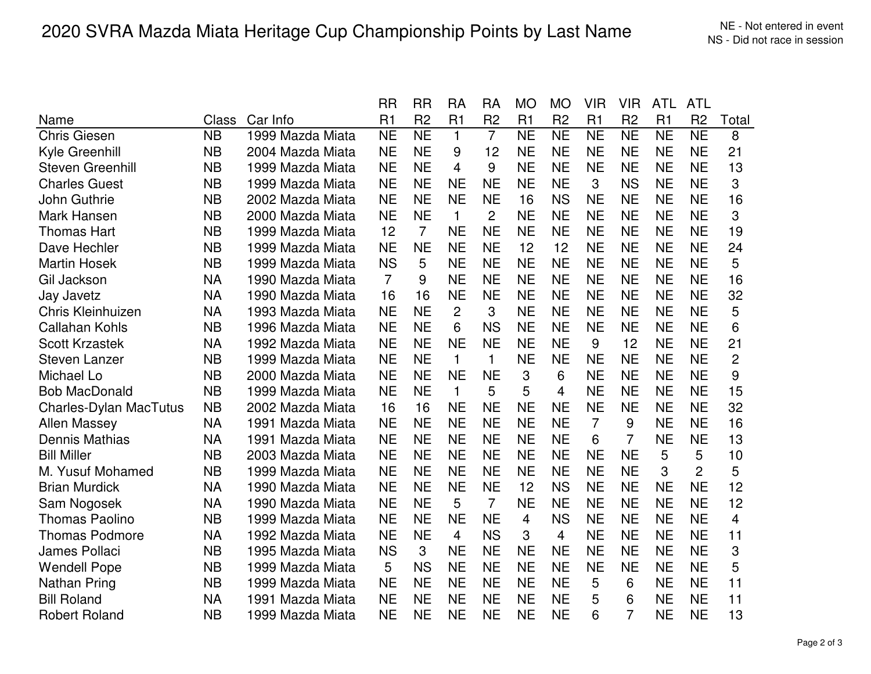|                               |              |                  | RR             | <b>RR</b>      | RA             | RA             | MO             | MО             | VIR            | <b>VIR</b>     | ATL       | ATL            |                         |
|-------------------------------|--------------|------------------|----------------|----------------|----------------|----------------|----------------|----------------|----------------|----------------|-----------|----------------|-------------------------|
| Name                          | <b>Class</b> | Car Info         | R1             | R <sub>2</sub> | R1             | R <sub>2</sub> | R <sub>1</sub> | R <sub>2</sub> | R1             | R <sub>2</sub> | R1        | R <sub>2</sub> | Total                   |
| <b>Chris Giesen</b>           | <b>NB</b>    | 1999 Mazda Miata | <b>NE</b>      | <b>NE</b>      | $\mathbf{1}$   | $\overline{7}$ | <b>NE</b>      | <b>NE</b>      | <b>NE</b>      | <b>NE</b>      | <b>NE</b> | <b>NE</b>      | 8                       |
| Kyle Greenhill                | <b>NB</b>    | 2004 Mazda Miata | <b>NE</b>      | <b>NE</b>      | 9              | 12             | <b>NE</b>      | <b>NE</b>      | <b>NE</b>      | <b>NE</b>      | <b>NE</b> | <b>NE</b>      | 21                      |
| <b>Steven Greenhill</b>       | <b>NB</b>    | 1999 Mazda Miata | <b>NE</b>      | <b>NE</b>      | 4              | 9              | <b>NE</b>      | <b>NE</b>      | <b>NE</b>      | <b>NE</b>      | <b>NE</b> | <b>NE</b>      | 13                      |
| <b>Charles Guest</b>          | <b>NB</b>    | 1999 Mazda Miata | <b>NE</b>      | <b>NE</b>      | <b>NE</b>      | <b>NE</b>      | <b>NE</b>      | <b>NE</b>      | 3              | <b>NS</b>      | <b>NE</b> | <b>NE</b>      | 3                       |
| John Guthrie                  | <b>NB</b>    | 2002 Mazda Miata | <b>NE</b>      | <b>NE</b>      | <b>NE</b>      | <b>NE</b>      | 16             | <b>NS</b>      | <b>NE</b>      | <b>NE</b>      | <b>NE</b> | <b>NE</b>      | 16                      |
| Mark Hansen                   | <b>NB</b>    | 2000 Mazda Miata | <b>NE</b>      | <b>NE</b>      | $\mathbf{1}$   | $\overline{2}$ | <b>NE</b>      | <b>NE</b>      | <b>NE</b>      | <b>NE</b>      | <b>NE</b> | <b>NE</b>      | 3                       |
| <b>Thomas Hart</b>            | <b>NB</b>    | 1999 Mazda Miata | 12             | $\overline{7}$ | <b>NE</b>      | <b>NE</b>      | <b>NE</b>      | <b>NE</b>      | <b>NE</b>      | <b>NE</b>      | <b>NE</b> | <b>NE</b>      | 19                      |
| Dave Hechler                  | <b>NB</b>    | 1999 Mazda Miata | <b>NE</b>      | <b>NE</b>      | <b>NE</b>      | <b>NE</b>      | 12             | 12             | <b>NE</b>      | <b>NE</b>      | <b>NE</b> | <b>NE</b>      | 24                      |
| <b>Martin Hosek</b>           | <b>NB</b>    | 1999 Mazda Miata | <b>NS</b>      | 5              | <b>NE</b>      | <b>NE</b>      | <b>NE</b>      | <b>NE</b>      | <b>NE</b>      | <b>NE</b>      | <b>NE</b> | <b>NE</b>      | 5                       |
| Gil Jackson                   | <b>NA</b>    | 1990 Mazda Miata | $\overline{7}$ | 9              | <b>NE</b>      | <b>NE</b>      | <b>NE</b>      | <b>NE</b>      | <b>NE</b>      | <b>NE</b>      | <b>NE</b> | <b>NE</b>      | 16                      |
| Jay Javetz                    | <b>NA</b>    | 1990 Mazda Miata | 16             | 16             | <b>NE</b>      | <b>NE</b>      | <b>NE</b>      | <b>NE</b>      | <b>NE</b>      | <b>NE</b>      | <b>NE</b> | <b>NE</b>      | 32                      |
| <b>Chris Kleinhuizen</b>      | <b>NA</b>    | 1993 Mazda Miata | <b>NE</b>      | <b>NE</b>      | $\overline{2}$ | 3              | <b>NE</b>      | <b>NE</b>      | <b>NE</b>      | <b>NE</b>      | <b>NE</b> | <b>NE</b>      | 5                       |
| <b>Callahan Kohls</b>         | <b>NB</b>    | 1996 Mazda Miata | <b>NE</b>      | <b>NE</b>      | 6              | <b>NS</b>      | <b>NE</b>      | <b>NE</b>      | <b>NE</b>      | <b>NE</b>      | <b>NE</b> | <b>NE</b>      | 6                       |
| <b>Scott Krzastek</b>         | <b>NA</b>    | 1992 Mazda Miata | <b>NE</b>      | <b>NE</b>      | <b>NE</b>      | <b>NE</b>      | <b>NE</b>      | <b>NE</b>      | 9              | 12             | <b>NE</b> | <b>NE</b>      | 21                      |
| <b>Steven Lanzer</b>          | <b>NB</b>    | 1999 Mazda Miata | <b>NE</b>      | <b>NE</b>      | $\mathbf{1}$   | $\mathbf{1}$   | <b>NE</b>      | <b>NE</b>      | <b>NE</b>      | <b>NE</b>      | <b>NE</b> | <b>NE</b>      | $\overline{2}$          |
| Michael Lo                    | <b>NB</b>    | 2000 Mazda Miata | <b>NE</b>      | <b>NE</b>      | <b>NE</b>      | <b>NE</b>      | 3              | 6              | <b>NE</b>      | <b>NE</b>      | <b>NE</b> | <b>NE</b>      | 9                       |
| <b>Bob MacDonald</b>          | <b>NB</b>    | 1999 Mazda Miata | <b>NE</b>      | <b>NE</b>      | $\mathbf{1}$   | 5              | 5              | 4              | <b>NE</b>      | <b>NE</b>      | <b>NE</b> | <b>NE</b>      | 15                      |
| <b>Charles-Dylan MacTutus</b> | <b>NB</b>    | 2002 Mazda Miata | 16             | 16             | <b>NE</b>      | <b>NE</b>      | <b>NE</b>      | <b>NE</b>      | <b>NE</b>      | <b>NE</b>      | <b>NE</b> | <b>NE</b>      | 32                      |
| <b>Allen Massey</b>           | <b>NA</b>    | 1991 Mazda Miata | <b>NE</b>      | <b>NE</b>      | <b>NE</b>      | <b>NE</b>      | <b>NE</b>      | <b>NE</b>      | $\overline{7}$ | 9              | <b>NE</b> | <b>NE</b>      | 16                      |
| <b>Dennis Mathias</b>         | <b>NA</b>    | 1991 Mazda Miata | <b>NE</b>      | <b>NE</b>      | <b>NE</b>      | <b>NE</b>      | <b>NE</b>      | <b>NE</b>      | 6              | $\overline{7}$ | <b>NE</b> | <b>NE</b>      | 13                      |
| <b>Bill Miller</b>            | <b>NB</b>    | 2003 Mazda Miata | <b>NE</b>      | <b>NE</b>      | <b>NE</b>      | <b>NE</b>      | <b>NE</b>      | <b>NE</b>      | <b>NE</b>      | <b>NE</b>      | 5         | 5              | 10                      |
| M. Yusuf Mohamed              | <b>NB</b>    | 1999 Mazda Miata | <b>NE</b>      | <b>NE</b>      | <b>NE</b>      | <b>NE</b>      | <b>NE</b>      | <b>NE</b>      | <b>NE</b>      | <b>NE</b>      | 3         | $\overline{2}$ | 5                       |
| <b>Brian Murdick</b>          | <b>NA</b>    | 1990 Mazda Miata | <b>NE</b>      | <b>NE</b>      | <b>NE</b>      | <b>NE</b>      | 12             | <b>NS</b>      | <b>NE</b>      | <b>NE</b>      | <b>NE</b> | <b>NE</b>      | 12                      |
| Sam Nogosek                   | <b>NA</b>    | 1990 Mazda Miata | <b>NE</b>      | <b>NE</b>      | 5              | $\overline{7}$ | <b>NE</b>      | <b>NE</b>      | <b>NE</b>      | <b>NE</b>      | <b>NE</b> | <b>NE</b>      | 12                      |
| <b>Thomas Paolino</b>         | <b>NB</b>    | 1999 Mazda Miata | <b>NE</b>      | <b>NE</b>      | <b>NE</b>      | <b>NE</b>      | 4              | <b>NS</b>      | <b>NE</b>      | <b>NE</b>      | <b>NE</b> | <b>NE</b>      | $\overline{\mathbf{4}}$ |
| <b>Thomas Podmore</b>         | <b>NA</b>    | 1992 Mazda Miata | <b>NE</b>      | <b>NE</b>      | 4              | <b>NS</b>      | 3              | 4              | <b>NE</b>      | <b>NE</b>      | <b>NE</b> | <b>NE</b>      | 11                      |
| James Pollaci                 | <b>NB</b>    | 1995 Mazda Miata | <b>NS</b>      | 3              | <b>NE</b>      | <b>NE</b>      | <b>NE</b>      | <b>NE</b>      | <b>NE</b>      | <b>NE</b>      | <b>NE</b> | <b>NE</b>      | 3                       |
| <b>Wendell Pope</b>           | <b>NB</b>    | 1999 Mazda Miata | 5              | <b>NS</b>      | <b>NE</b>      | <b>NE</b>      | <b>NE</b>      | <b>NE</b>      | <b>NE</b>      | <b>NE</b>      | <b>NE</b> | <b>NE</b>      | 5                       |
| Nathan Pring                  | <b>NB</b>    | 1999 Mazda Miata | <b>NE</b>      | <b>NE</b>      | <b>NE</b>      | <b>NE</b>      | <b>NE</b>      | <b>NE</b>      | 5              | 6              | <b>NE</b> | <b>NE</b>      | 11                      |
| <b>Bill Roland</b>            | <b>NA</b>    | 1991 Mazda Miata | <b>NE</b>      | <b>NE</b>      | <b>NE</b>      | <b>NE</b>      | <b>NE</b>      | <b>NE</b>      | 5              | 6              | <b>NE</b> | <b>NE</b>      | 11                      |
| <b>Robert Roland</b>          | <b>NB</b>    | 1999 Mazda Miata | <b>NE</b>      | <b>NE</b>      | <b>NE</b>      | <b>NE</b>      | <b>NE</b>      | <b>NE</b>      | 6              | $\overline{7}$ | <b>NE</b> | <b>NE</b>      | 13                      |